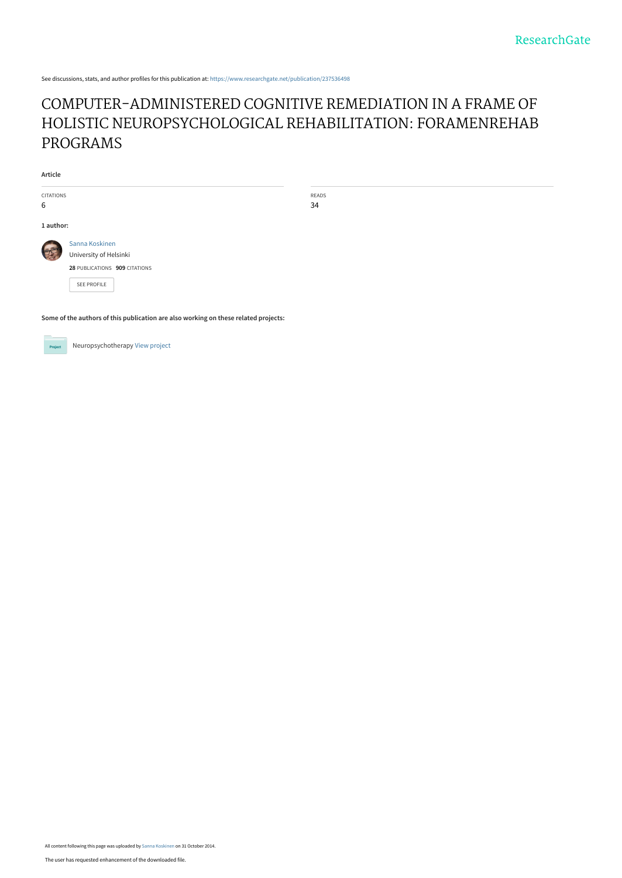See discussions, stats, and author profiles for this publication at: [https://www.researchgate.net/publication/237536498](https://www.researchgate.net/publication/237536498_COMPUTER-ADMINISTERED_COGNITIVE_REMEDIATION_IN_A_FRAME_OF_HOLISTIC_NEUROPSYCHOLOGICAL_REHABILITATION_FORAMENREHAB_PROGRAMS?enrichId=rgreq-ed3a54655b02810a1d867a6cef5dae61-XXX&enrichSource=Y292ZXJQYWdlOzIzNzUzNjQ5ODtBUzoxNTgyOTc2MzQxMjM3NzZAMTQxNDc1MjUwNTM2Mg%3D%3D&el=1_x_2&_esc=publicationCoverPdf)

# COMPUTER-ADMINISTERED COGNITIVE REMEDIATION IN A FRAME OF [HOLISTIC NEUROPSYCHOLOGICAL REHABILITATION: FORAMENREHAB](https://www.researchgate.net/publication/237536498_COMPUTER-ADMINISTERED_COGNITIVE_REMEDIATION_IN_A_FRAME_OF_HOLISTIC_NEUROPSYCHOLOGICAL_REHABILITATION_FORAMENREHAB_PROGRAMS?enrichId=rgreq-ed3a54655b02810a1d867a6cef5dae61-XXX&enrichSource=Y292ZXJQYWdlOzIzNzUzNjQ5ODtBUzoxNTgyOTc2MzQxMjM3NzZAMTQxNDc1MjUwNTM2Mg%3D%3D&el=1_x_3&_esc=publicationCoverPdf) PROGRAMS

READS 34

**Article**

CITATIONS 6 **1 author:** [Sanna Koskinen](https://www.researchgate.net/profile/Sanna_Koskinen2?enrichId=rgreq-ed3a54655b02810a1d867a6cef5dae61-XXX&enrichSource=Y292ZXJQYWdlOzIzNzUzNjQ5ODtBUzoxNTgyOTc2MzQxMjM3NzZAMTQxNDc1MjUwNTM2Mg%3D%3D&el=1_x_5&_esc=publicationCoverPdf) [University of Helsinki](https://www.researchgate.net/institution/University_of_Helsinki?enrichId=rgreq-ed3a54655b02810a1d867a6cef5dae61-XXX&enrichSource=Y292ZXJQYWdlOzIzNzUzNjQ5ODtBUzoxNTgyOTc2MzQxMjM3NzZAMTQxNDc1MjUwNTM2Mg%3D%3D&el=1_x_6&_esc=publicationCoverPdf) **28** PUBLICATIONS **909** CITATIONS [SEE PROFILE](https://www.researchgate.net/profile/Sanna_Koskinen2?enrichId=rgreq-ed3a54655b02810a1d867a6cef5dae61-XXX&enrichSource=Y292ZXJQYWdlOzIzNzUzNjQ5ODtBUzoxNTgyOTc2MzQxMjM3NzZAMTQxNDc1MjUwNTM2Mg%3D%3D&el=1_x_7&_esc=publicationCoverPdf)

**Some of the authors of this publication are also working on these related projects:**



Neuropsychotherapy [View project](https://www.researchgate.net/project/Neuropsychotherapy-2?enrichId=rgreq-ed3a54655b02810a1d867a6cef5dae61-XXX&enrichSource=Y292ZXJQYWdlOzIzNzUzNjQ5ODtBUzoxNTgyOTc2MzQxMjM3NzZAMTQxNDc1MjUwNTM2Mg%3D%3D&el=1_x_9&_esc=publicationCoverPdf)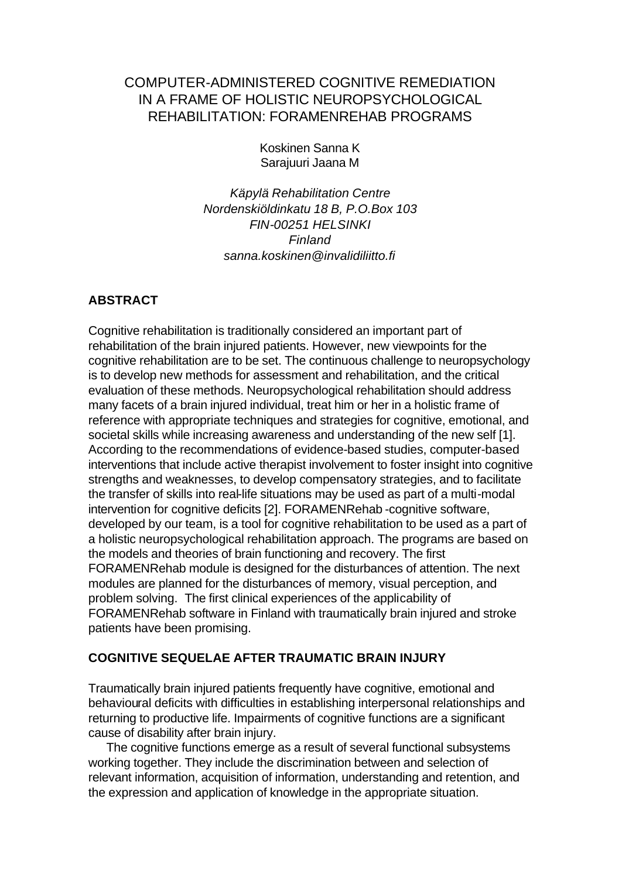## COMPUTER-ADMINISTERED COGNITIVE REMEDIATION IN A FRAME OF HOLISTIC NEUROPSYCHOLOGICAL REHABILITATION: FORAMENREHAB PROGRAMS

Koskinen Sanna K Sarajuuri Jaana M

*Käpylä Rehabilitation Centre Nordenskiöldinkatu 18 B, P.O.Box 103 FIN-00251 HELSINKI Finland sanna.koskinen@invalidiliitto.fi*

## **ABSTRACT**

Cognitive rehabilitation is traditionally considered an important part of rehabilitation of the brain injured patients. However, new viewpoints for the cognitive rehabilitation are to be set. The continuous challenge to neuropsychology is to develop new methods for assessment and rehabilitation, and the critical evaluation of these methods. Neuropsychological rehabilitation should address many facets of a brain injured individual, treat him or her in a holistic frame of reference with appropriate techniques and strategies for cognitive, emotional, and societal skills while increasing awareness and understanding of the new self [1]. According to the recommendations of evidence-based studies, computer-based interventions that include active therapist involvement to foster insight into cognitive strengths and weaknesses, to develop compensatory strategies, and to facilitate the transfer of skills into real-life situations may be used as part of a multi-modal intervention for cognitive deficits [2]. FORAMENRehab -cognitive software, developed by our team, is a tool for cognitive rehabilitation to be used as a part of a holistic neuropsychological rehabilitation approach. The programs are based on the models and theories of brain functioning and recovery. The first FORAMENRehab module is designed for the disturbances of attention. The next modules are planned for the disturbances of memory, visual perception, and problem solving. The first clinical experiences of the applicability of FORAMENRehab software in Finland with traumatically brain injured and stroke patients have been promising.

### **COGNITIVE SEQUELAE AFTER TRAUMATIC BRAIN INJURY**

Traumatically brain injured patients frequently have cognitive, emotional and behavioural deficits with difficulties in establishing interpersonal relationships and returning to productive life. Impairments of cognitive functions are a significant cause of disability after brain injury.

The cognitive functions emerge as a result of several functional subsystems working together. They include the discrimination between and selection of relevant information, acquisition of information, understanding and retention, and the expression and application of knowledge in the appropriate situation.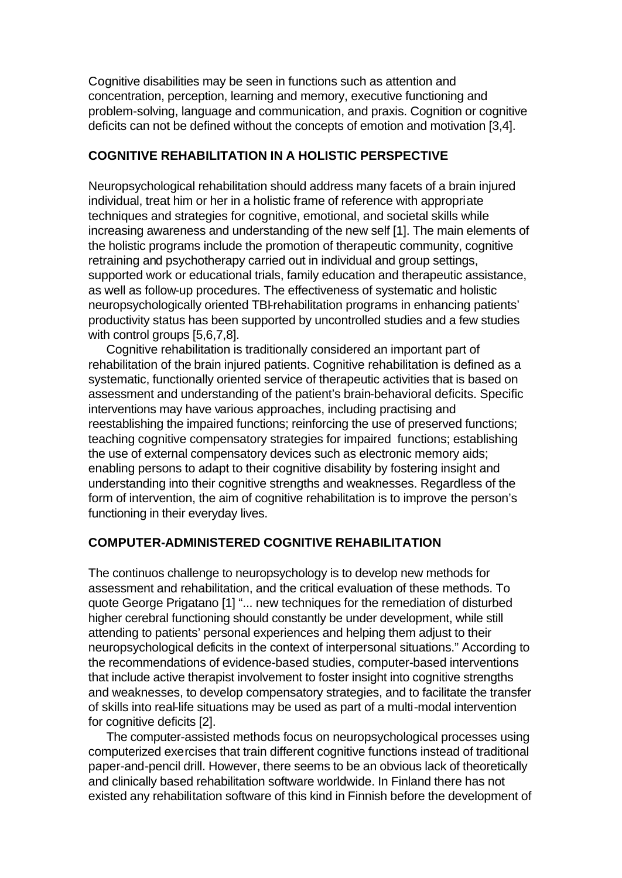Cognitive disabilities may be seen in functions such as attention and concentration, perception, learning and memory, executive functioning and problem-solving, language and communication, and praxis. Cognition or cognitive deficits can not be defined without the concepts of emotion and motivation [3,4].

#### **COGNITIVE REHABILITATION IN A HOLISTIC PERSPECTIVE**

Neuropsychological rehabilitation should address many facets of a brain injured individual, treat him or her in a holistic frame of reference with appropriate techniques and strategies for cognitive, emotional, and societal skills while increasing awareness and understanding of the new self [1]. The main elements of the holistic programs include the promotion of therapeutic community, cognitive retraining and psychotherapy carried out in individual and group settings, supported work or educational trials, family education and therapeutic assistance, as well as follow-up procedures. The effectiveness of systematic and holistic neuropsychologically oriented TBI-rehabilitation programs in enhancing patients' productivity status has been supported by uncontrolled studies and a few studies with control groups [5,6,7,8].

Cognitive rehabilitation is traditionally considered an important part of rehabilitation of the brain injured patients. Cognitive rehabilitation is defined as a systematic, functionally oriented service of therapeutic activities that is based on assessment and understanding of the patient's brain-behavioral deficits. Specific interventions may have various approaches, including practising and reestablishing the impaired functions; reinforcing the use of preserved functions; teaching cognitive compensatory strategies for impaired functions; establishing the use of external compensatory devices such as electronic memory aids; enabling persons to adapt to their cognitive disability by fostering insight and understanding into their cognitive strengths and weaknesses. Regardless of the form of intervention, the aim of cognitive rehabilitation is to improve the person's functioning in their everyday lives.

### **COMPUTER-ADMINISTERED COGNITIVE REHABILITATION**

The continuos challenge to neuropsychology is to develop new methods for assessment and rehabilitation, and the critical evaluation of these methods. To quote George Prigatano [1] "... new techniques for the remediation of disturbed higher cerebral functioning should constantly be under development, while still attending to patients' personal experiences and helping them adjust to their neuropsychological deficits in the context of interpersonal situations." According to the recommendations of evidence-based studies, computer-based interventions that include active therapist involvement to foster insight into cognitive strengths and weaknesses, to develop compensatory strategies, and to facilitate the transfer of skills into real-life situations may be used as part of a multi-modal intervention for cognitive deficits [2].

The computer-assisted methods focus on neuropsychological processes using computerized exercises that train different cognitive functions instead of traditional paper-and-pencil drill. However, there seems to be an obvious lack of theoretically and clinically based rehabilitation software worldwide. In Finland there has not existed any rehabilitation software of this kind in Finnish before the development of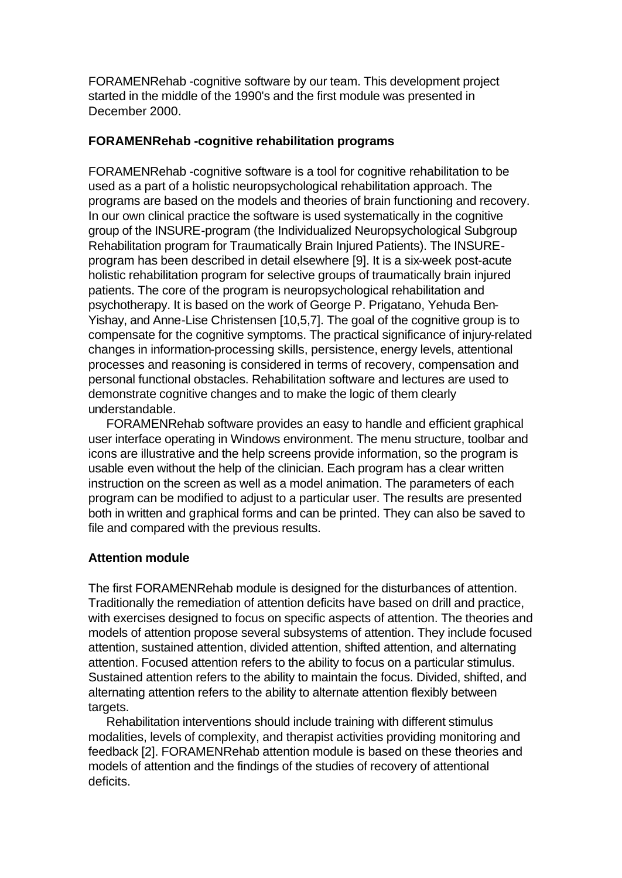FORAMENRehab -cognitive software by our team. This development project started in the middle of the 1990's and the first module was presented in December 2000.

### **FORAMENRehab -cognitive rehabilitation programs**

FORAMENRehab -cognitive software is a tool for cognitive rehabilitation to be used as a part of a holistic neuropsychological rehabilitation approach. The programs are based on the models and theories of brain functioning and recovery. In our own clinical practice the software is used systematically in the cognitive group of the INSURE-program (the Individualized Neuropsychological Subgroup Rehabilitation program for Traumatically Brain Injured Patients). The INSUREprogram has been described in detail elsewhere [9]. It is a six-week post-acute holistic rehabilitation program for selective groups of traumatically brain injured patients. The core of the program is neuropsychological rehabilitation and psychotherapy. It is based on the work of George P. Prigatano, Yehuda Ben-Yishay, and Anne-Lise Christensen [10,5,7]. The goal of the cognitive group is to compensate for the cognitive symptoms. The practical significance of injury-related changes in information-processing skills, persistence, energy levels, attentional processes and reasoning is considered in terms of recovery, compensation and personal functional obstacles. Rehabilitation software and lectures are used to demonstrate cognitive changes and to make the logic of them clearly understandable.

FORAMENRehab software provides an easy to handle and efficient graphical user interface operating in Windows environment. The menu structure, toolbar and icons are illustrative and the help screens provide information, so the program is usable even without the help of the clinician. Each program has a clear written instruction on the screen as well as a model animation. The parameters of each program can be modified to adjust to a particular user. The results are presented both in written and graphical forms and can be printed. They can also be saved to file and compared with the previous results.

#### **Attention module**

The first FORAMENRehab module is designed for the disturbances of attention. Traditionally the remediation of attention deficits have based on drill and practice, with exercises designed to focus on specific aspects of attention. The theories and models of attention propose several subsystems of attention. They include focused attention, sustained attention, divided attention, shifted attention, and alternating attention. Focused attention refers to the ability to focus on a particular stimulus. Sustained attention refers to the ability to maintain the focus. Divided, shifted, and alternating attention refers to the ability to alternate attention flexibly between targets.

Rehabilitation interventions should include training with different stimulus modalities, levels of complexity, and therapist activities providing monitoring and feedback [2]. FORAMENRehab attention module is based on these theories and models of attention and the findings of the studies of recovery of attentional deficits.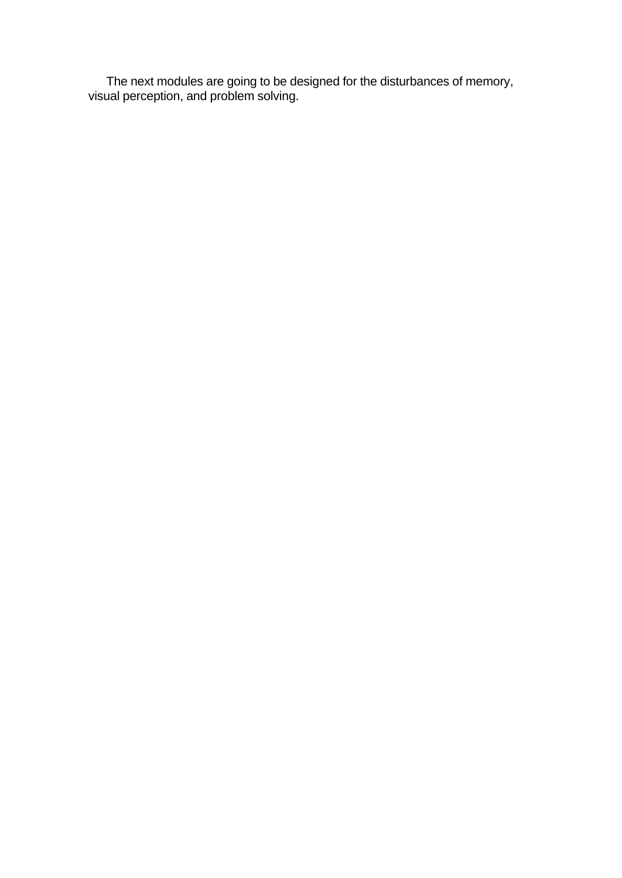The next modules are going to be designed for the disturbances of memory, visual perception, and problem solving.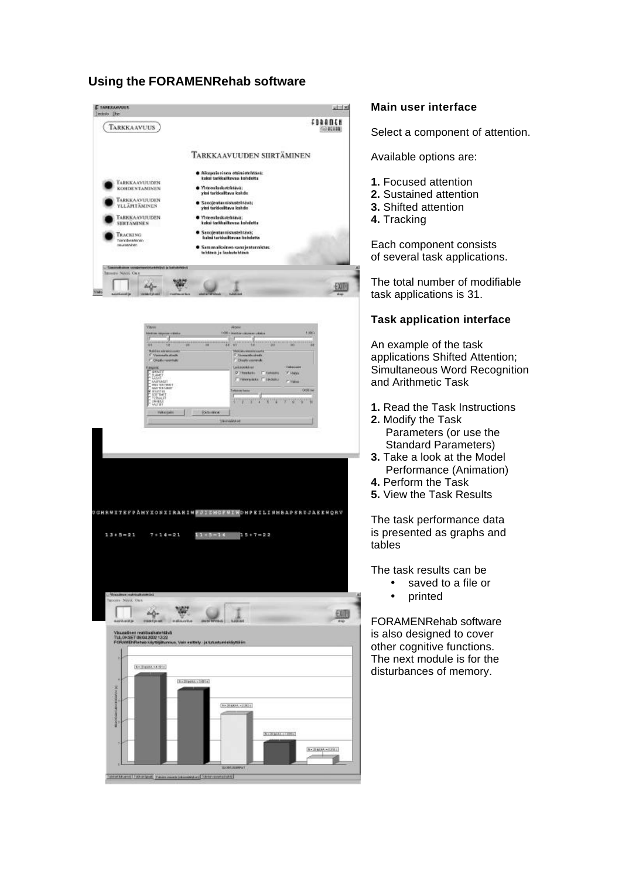#### **Using the FORAMENRehab software**



#### **Main user interface**

Select a component of attention.

Available options are:

- **1.** Focused attention
- **2.** Sustained attention
- **3.** Shifted attention
- **4.** Tracking

Each component consists of several task applications.

The total number of modifiable task applications is 31.

#### **Task application interface**

An example of the task applications Shifted Attention; Simultaneous Word Recognition and Arithmetic Task

- **1.** Read the Task Instructions
- **2.** Modify the Task Parameters (or use the Standard Parameters)
- **3.** Take a look at the Model Performance (Animation)
- **4.** Perform the Task
- **5.** View the Task Results

The task performance data is presented as graphs and tables

The task results can be

- saved to a file or
- printed

FORAMENRehab software is also designed to cover other cognitive functions. The next module is for the disturbances of memory.